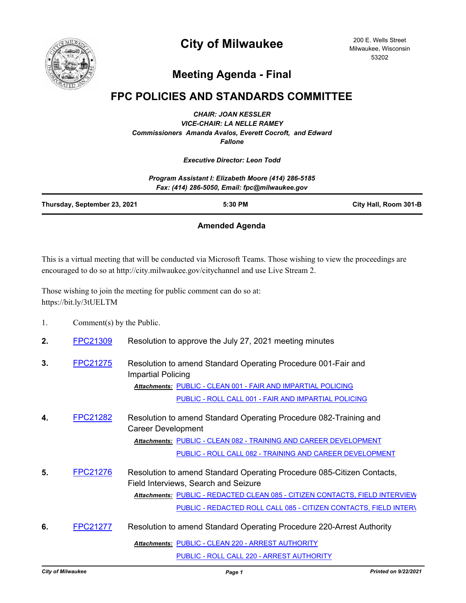

# **City of Milwaukee**

200 E. Wells Street Milwaukee, Wisconsin 53202

## **Meeting Agenda - Final**

### **FPC POLICIES AND STANDARDS COMMITTEE**

*CHAIR: JOAN KESSLER VICE-CHAIR: LA NELLE RAMEY Commissioners Amanda Avalos, Everett Cocroft, and Edward Fallone*

#### *Executive Director: Leon Todd*

|                              | Program Assistant I: Elizabeth Moore (414) 286-5185<br>Fax: (414) 286-5050, Email: fpc@milwaukee.gov |                       |
|------------------------------|------------------------------------------------------------------------------------------------------|-----------------------|
| Thursday, September 23, 2021 | 5:30 PM                                                                                              | City Hall, Room 301-B |
|                              |                                                                                                      |                       |

#### **Amended Agenda**

This is a virtual meeting that will be conducted via Microsoft Teams. Those wishing to view the proceedings are encouraged to do so at http://city.milwaukee.gov/citychannel and use Live Stream 2.

Those wishing to join the meeting for public comment can do so at: https://bit.ly/3tUELTM

| Comment(s) by the Public. |
|---------------------------|
|                           |

- **2.** [FPC21309](http://milwaukee.legistar.com/gateway.aspx?m=l&id=/matter.aspx?key=60247) Resolution to approve the July 27, 2021 meeting minutes
- **3.** [FPC21275](http://milwaukee.legistar.com/gateway.aspx?m=l&id=/matter.aspx?key=59995) Resolution to amend Standard Operating Procedure 001-Fair and Impartial Policing [PUBLIC - CLEAN 001 - FAIR AND IMPARTIAL POLICING](http://Milwaukee.legistar.com/gateway.aspx?M=F&ID=f9409a3c-f64e-43c9-9bd0-d89ffc8a6711.pdf) *Attachments:* [PUBLIC - ROLL CALL 001 - FAIR AND IMPARTIAL POLICING](http://Milwaukee.legistar.com/gateway.aspx?M=F&ID=2480318c-0603-4a12-aa79-28777d75b186.pdf)
- **4.** [FPC21282](http://milwaukee.legistar.com/gateway.aspx?m=l&id=/matter.aspx?key=60005) Resolution to amend Standard Operating Procedure 082-Training and Career Development Attachments: [PUBLIC - CLEAN 082 - TRAINING AND CAREER DEVELOPMENT](http://Milwaukee.legistar.com/gateway.aspx?M=F&ID=3d754b67-43c7-4d14-aa3a-cbec219c7865.pdf) [PUBLIC - ROLL CALL 082 - TRAINING AND CAREER DEVELOPMENT](http://Milwaukee.legistar.com/gateway.aspx?M=F&ID=a5d7eda8-5894-4c57-8162-b5bf6232fd09.pdf)
- **5.** [FPC21276](http://milwaukee.legistar.com/gateway.aspx?m=l&id=/matter.aspx?key=59996) Resolution to amend Standard Operating Procedure 085-Citizen Contacts, Field Interviews, Search and Seizure <u>Attachments: [PUBLIC - REDACTED CLEAN 085 - CITIZEN CONTACTS, FIELD INTERVIEW](http://Milwaukee.legistar.com/gateway.aspx?M=F&ID=635c514d-ac8f-472b-b007-d7755c0fb531.pdf)</u> [PUBLIC - REDACTED ROLL CALL 085 - CITIZEN CONTACTS, FIELD INTERV](http://Milwaukee.legistar.com/gateway.aspx?M=F&ID=1aa4bd2e-6cb3-4243-95de-a5262352a08d.pdf)
- **6.** [FPC21277](http://milwaukee.legistar.com/gateway.aspx?m=l&id=/matter.aspx?key=59998) Resolution to amend Standard Operating Procedure 220-Arrest Authority Attachments: [PUBLIC - CLEAN 220 - ARREST AUTHORITY](http://Milwaukee.legistar.com/gateway.aspx?M=F&ID=5bd139be-248a-474a-8a52-26afbd1fbe95.pdf) [PUBLIC - ROLL CALL 220 - ARREST AUTHORITY](http://Milwaukee.legistar.com/gateway.aspx?M=F&ID=1955a488-483d-41fc-a674-cd396c2fdddc.pdf)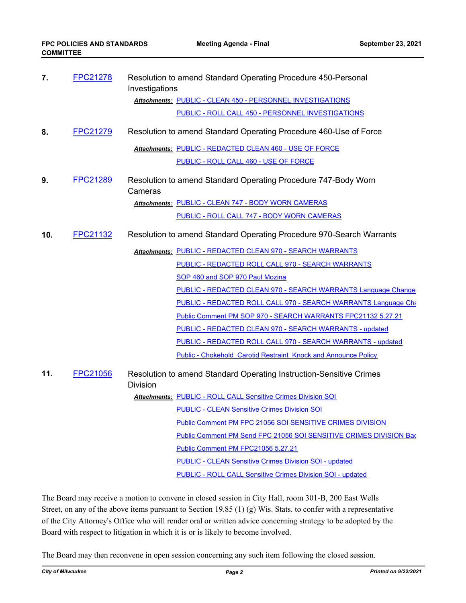| FPC21278<br>7.  |                 | Resolution to amend Standard Operating Procedure 450-Personal<br>Investigations        |
|-----------------|-----------------|----------------------------------------------------------------------------------------|
|                 |                 | Attachments: PUBLIC - CLEAN 450 - PERSONNEL INVESTIGATIONS                             |
|                 |                 | PUBLIC - ROLL CALL 450 - PERSONNEL INVESTIGATIONS                                      |
| 8.              | FPC21279        | Resolution to amend Standard Operating Procedure 460-Use of Force                      |
|                 |                 | Attachments: PUBLIC - REDACTED CLEAN 460 - USE OF FORCE                                |
|                 |                 | PUBLIC - ROLL CALL 460 - USE OF FORCE                                                  |
| 9.<br>FPC21289  |                 | Resolution to amend Standard Operating Procedure 747-Body Worn<br>Cameras              |
|                 |                 | Attachments: PUBLIC - CLEAN 747 - BODY WORN CAMERAS                                    |
|                 |                 | PUBLIC - ROLL CALL 747 - BODY WORN CAMERAS                                             |
| FPC21132<br>10. |                 | Resolution to amend Standard Operating Procedure 970-Search Warrants                   |
|                 |                 | Attachments: PUBLIC - REDACTED CLEAN 970 - SEARCH WARRANTS                             |
|                 |                 | PUBLIC - REDACTED ROLL CALL 970 - SEARCH WARRANTS                                      |
|                 |                 | SOP 460 and SOP 970 Paul Mozina                                                        |
|                 |                 | <b>PUBLIC - REDACTED CLEAN 970 - SEARCH WARRANTS Language Change</b>                   |
|                 |                 | PUBLIC - REDACTED ROLL CALL 970 - SEARCH WARRANTS Language Che                         |
|                 |                 | Public Comment PM SOP 970 - SEARCH WARRANTS FPC21132 5.27.21                           |
|                 |                 | <b>PUBLIC - REDACTED CLEAN 970 - SEARCH WARRANTS - updated</b>                         |
|                 |                 | PUBLIC - REDACTED ROLL CALL 970 - SEARCH WARRANTS - updated                            |
|                 |                 | <b>Public - Chokehold Carotid Restraint Knock and Announce Policy</b>                  |
| 11.             | <b>FPC21056</b> | Resolution to amend Standard Operating Instruction-Sensitive Crimes<br><b>Division</b> |
|                 |                 | <b>Attachments: PUBLIC - ROLL CALL Sensitive Crimes Division SOI</b>                   |
|                 |                 | <b>PUBLIC - CLEAN Sensitive Crimes Division SOI</b>                                    |
|                 |                 | Public Comment PM FPC 21056 SOI SENSITIVE CRIMES DIVISION                              |
|                 |                 | Public Comment PM Send FPC 21056 SOI SENSITIVE CRIMES DIVISION Bac                     |
|                 |                 | Public Comment PM FPC21056 5.27.21                                                     |
|                 |                 | <b>PUBLIC - CLEAN Sensitive Crimes Division SOI - updated</b>                          |
|                 |                 | PUBLIC - ROLL CALL Sensitive Crimes Division SOI - updated                             |

The Board may receive a motion to convene in closed session in City Hall, room 301-B, 200 East Wells Street, on any of the above items pursuant to Section 19.85 (1) (g) Wis. Stats. to confer with a representative of the City Attorney's Office who will render oral or written advice concerning strategy to be adopted by the Board with respect to litigation in which it is or is likely to become involved.

The Board may then reconvene in open session concerning any such item following the closed session.